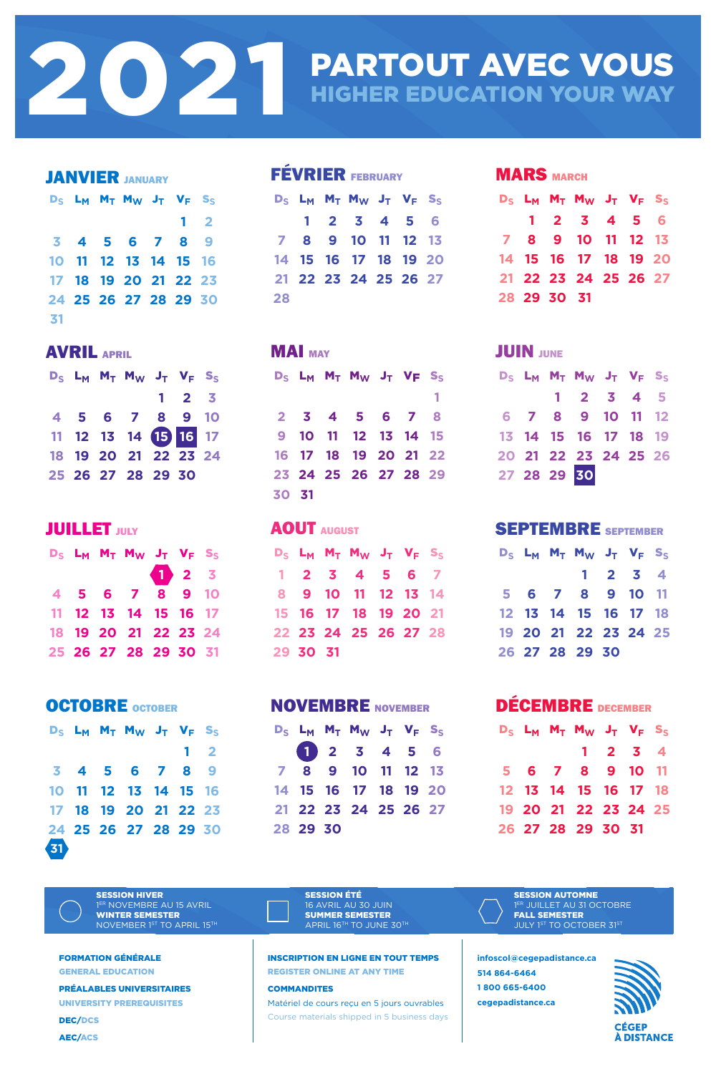| <b>JANVIER JANUARY</b> |  |  |                                           |  |            |  |  |
|------------------------|--|--|-------------------------------------------|--|------------|--|--|
|                        |  |  | $D_S$ $L_M$ $M_T$ $M_W$ $J_T$ $V_F$ $S_S$ |  |            |  |  |
|                        |  |  |                                           |  | $1\quad 2$ |  |  |
|                        |  |  | 3 4 5 6 7 8 9                             |  |            |  |  |
|                        |  |  | 10 11 12 13 14 15 16                      |  |            |  |  |
|                        |  |  | 17 18 19 20 21 22 23                      |  |            |  |  |
|                        |  |  | 24 25 26 27 28 29 30                      |  |            |  |  |
| 31                     |  |  |                                           |  |            |  |  |

| <b>FEVRIER FEBRUARY</b> |  |  |                                           |  |  |  |  |  |
|-------------------------|--|--|-------------------------------------------|--|--|--|--|--|
|                         |  |  | $D_S$ $L_M$ $M_T$ $M_W$ $J_T$ $V_F$ $S_S$ |  |  |  |  |  |
|                         |  |  | 1 2 3 4 5 6                               |  |  |  |  |  |
|                         |  |  | 7 8 9 10 11 12 13                         |  |  |  |  |  |
|                         |  |  | 14 15 16 17 18 19 20                      |  |  |  |  |  |
|                         |  |  | 21 22 23 24 25 26 27                      |  |  |  |  |  |
| 28                      |  |  |                                           |  |  |  |  |  |

#### **MARS MARCH**

|  |             | $D_S$ $L_M$ $M_T$ $M_W$ $J_T$ $V_F$ $S_S$ |  |  |
|--|-------------|-------------------------------------------|--|--|
|  |             | 1 2 3 4 5 6                               |  |  |
|  |             | 7 8 9 10 11 12 13                         |  |  |
|  |             | 14 15 16 17 18 19 20                      |  |  |
|  |             | 21 22 23 24 25 26 27                      |  |  |
|  | 28 29 30 31 |                                           |  |  |

AVRIL APRIL

|  | $D_S$ $L_M$ $M_T$ $M_W$ $J_T$ $V_F$ $S_S$ |                     |  |
|--|-------------------------------------------|---------------------|--|
|  |                                           | $1 \quad 2 \quad 3$ |  |
|  | 4 5 6 7 8 9 10                            |                     |  |
|  | 11 12 13 14 15 16 17                      |                     |  |
|  | 18 19 20 21 22 23 24                      |                     |  |
|  | 25 26 27 28 29 30                         |                     |  |

#### **JUILLET** JULY

|       |  | $D_S$ $L_M$ $M_T$ $M_W$ $J_T$ $V_F$ $S_S$ |  |  |
|-------|--|-------------------------------------------|--|--|
|       |  |                                           |  |  |
|       |  | 2 3 4 5 6 7 8                             |  |  |
|       |  | 9 10 11 12 13 14 15                       |  |  |
|       |  | 16 17 18 19 20 21 22                      |  |  |
|       |  | 23 24 25 26 27 28 29                      |  |  |
| 30 31 |  |                                           |  |  |

#### JUIN JUNE

**MAI** MAY

#### D**<sup>S</sup>** L**<sup>M</sup>** M**<sup>T</sup>** M**<sup>W</sup>** J**<sup>T</sup>** V**<sup>F</sup>** S**<sup>S</sup> 1 2 3 4 5 6 7 8 9 10 11 12 13 14 15 16 17 18 19 20 21 22 23 24 25 26 27 28 29 30**

# PARTOUT AVEC VOUS **HIGHER EDUCATION YOUR WAY**

SESSION HIVER 1ER NOVEMBRE AU 15 AVRIL WINTER SEMESTER NOVEMBER 1ST TO APRIL 15TH

|  | $D_S$ $L_M$ $M_T$ $M_W$ $J_T$ $V_F$ $S_S$ |  |  |
|--|-------------------------------------------|--|--|
|  | 1 2 3                                     |  |  |
|  | 4 5 6 7 8 9 10                            |  |  |
|  | 11 12 13 14 15 16 17                      |  |  |
|  | 18 19 20 21 22 23 24                      |  |  |
|  | 25 26 27 28 29 30 31                      |  |  |

SESSION ÉTÉ 16 AVRIL AU 30 JUIN SUMMER SEMESTER APRIL 16TH TO JUNE 30TH SESSION AUTOMNE 1ER JUILLET AU 31 OCTOBRE FALL SEMESTER JULY 1ST TO OCTOBER 31ST

#### AOUT AUGUST

|          | $D_S$ $L_M$ $M_T$ $M_W$ $J_T$ $V_F$ $S_S$ |  |  |
|----------|-------------------------------------------|--|--|
|          | 1 2 3 4 5 6 7                             |  |  |
|          | 8 9 10 11 12 13 14                        |  |  |
|          | 15 16 17 18 19 20 21                      |  |  |
|          | 22 23 24 25 26 27 28                      |  |  |
| 29 30 31 |                                           |  |  |

#### SEPTEMBRE SEPTEMBER

|  | $D_S$ $L_M$ $M_T$ $M_W$ $J_T$ $V_F$ $S_S$ |         |  |
|--|-------------------------------------------|---------|--|
|  |                                           | 1 2 3 4 |  |
|  | 5 6 7 8 9 10 11                           |         |  |
|  | 12 13 14 15 16 17 18                      |         |  |
|  | 19 20 21 22 23 24 25                      |         |  |
|  | 26 27 28 29 30                            |         |  |

#### OCTOBRE OCTOBER

D**<sup>S</sup>** L**<sup>M</sup>** M**<sup>T</sup>** M**<sup>W</sup>** J**<sup>T</sup>** V**<sup>F</sup>** S**<sup>S</sup>**





|          | 1 2 3 4 5 6          |  |  |
|----------|----------------------|--|--|
|          | 7 8 9 10 11 12 13    |  |  |
|          | 14 15 16 17 18 19 20 |  |  |
|          | 21 22 23 24 25 26 27 |  |  |
| 28 29 30 |                      |  |  |

DÉCEMBRE DECEMBER D**<sup>S</sup>** L**<sup>M</sup>** M**<sup>T</sup>** M**<sup>W</sup>** J**<sup>T</sup>** V**<sup>F</sup>** S**<sup>S</sup>**

**1 2 3 4 6 7 8 9 10 11 13 14 15 16 17 18 20 21 22 23 24 25 27 28 29 30 31**

FORMATION GÉNÉRALE

GENERAL EDUCATION

PRÉALABLES UNIVERSITAIRES

UNIVERSITY PREREQUISITES

DEC/DCS

AEC/ACS

INSCRIPTION EN LIGNE EN TOUT TEMPS REGISTER ONLINE AT ANY TIME

#### COMMANDITES

Matériel de cours reçu en 5 jours ouvrables Course materials shipped in 5 business days

**infoscol@cegepadistance.ca 514 864-6464 1 800 665-6400 cegepadistance.ca**



**CÉGEP** À DISTANCE

2021